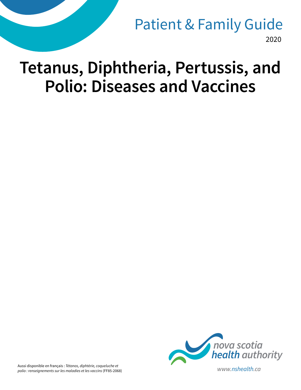2020 Patient & Family Guide

# **Tetanus, Diphtheria, Pertussis, and Polio: Diseases and Vaccines**



Aussi disponible en français : *Tétanos, diphtérie, coqueluche et polio : renseignements sur les maladies et les vaccins* (FF85-2068) *www.nshealth.ca*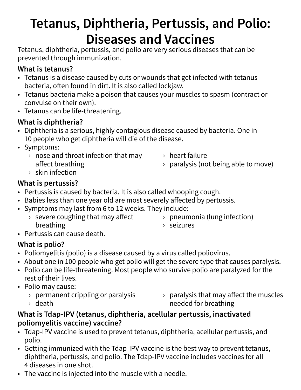## **Tetanus, Diphtheria, Pertussis, and Polio: Diseases and Vaccines**

Tetanus, diphtheria, pertussis, and polio are very serious diseases that can be prevented through immunization.

#### **What is tetanus?**

- Tetanus is a disease caused by cuts or wounds that get infected with tetanus bacteria, often found in dirt. It is also called lockjaw.
- Tetanus bacteria make a poison that causes your muscles to spasm (contract or convulse on their own).
- Tetanus can be life-threatening.

#### **What is diphtheria?**

- Diphtheria is a serious, highly contagious disease caused by bacteria. One in 10 people who get diphtheria will die of the disease.
- Symptoms:
	- $\rightarrow$  nose and throat infection that may affect breathing
- › heart failure
- $\rightarrow$  paralysis (not being able to move)

› skin infection

#### **What is pertussis?**

- Pertussis is caused by bacteria. It is also called whooping cough.
- Babies less than one year old are most severely affected by pertussis.
- Symptoms may last from 6 to 12 weeks. They include:
	- › severe coughing that may affect breathing
- › pneumonia (lung infection)
- › seizures

• Pertussis can cause death.

#### **What is polio?**

- Poliomyelitis (polio) is a disease caused by a virus called poliovirus.
- About one in 100 people who get polio will get the severe type that causes paralysis.
- Polio can be life-threatening. Most people who survive polio are paralyzed for the rest of their lives.
- Polio may cause:
	- $\rightarrow$  permanent crippling or paralysis
	- › death

 $\rightarrow$  paralysis that may affect the muscles needed for breathing

#### **What is Tdap-IPV (tetanus, diphtheria, acellular pertussis, inactivated poliomyelitis vaccine) vaccine?**

- Tdap-IPV vaccine is used to prevent tetanus, diphtheria, acellular pertussis, and polio.
- Getting immunized with the Tdap-IPV vaccine is the best way to prevent tetanus, diphtheria, pertussis, and polio. The Tdap-IPV vaccine includes vaccines for all 4 diseases in one shot.
- The vaccine is injected into the muscle with a needle.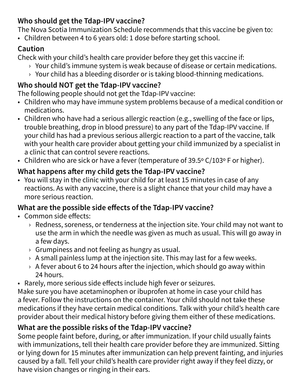#### **Who should get the Tdap-IPV vaccine?**

The Nova Scotia Immunization Schedule recommends that this vaccine be given to:

• Children between 4 to 6 years old: 1 dose before starting school.

## **Caution**

Check with your child's health care provider before they get this vaccine if:

- › Your child's immune system is weak because of disease or certain medications.
- › Your child has a bleeding disorder or is taking blood-thinning medications.

## **Who should NOT get the Tdap-IPV vaccine?**

The following people should not get the Tdap-IPV vaccine:

- Children who may have immune system problems because of a medical condition or medications.
- Children who have had a serious allergic reaction (e.g., swelling of the face or lips, trouble breathing, drop in blood pressure) to any part of the Tdap-IPV vaccine. If your child has had a previous serious allergic reaction to a part of the vaccine, talk with your health care provider about getting your child immunized by a specialist in a clinic that can control severe reactions.
- Children who are sick or have a fever (temperature of 39.5º C/103º F or higher).

## **What happens after my child gets the Tdap-IPV vaccine?**

• You will stay in the clinic with your child for at least 15 minutes in case of any reactions. As with any vaccine, there is a slight chance that your child may have a more serious reaction.

## **What are the possible side effects of the Tdap-IPV vaccine?**

- Common side effects:
	- $\rightarrow$  Redness, soreness, or tenderness at the injection site. Your child may not want to use the arm in which the needle was given as much as usual. This will go away in a few days.
	- $\rightarrow$  Grumpiness and not feeling as hungry as usual.
	- $\rightarrow$  A small painless lump at the injection site. This may last for a few weeks.
	- $\rightarrow$  A fever about 6 to 24 hours after the injection, which should go away within 24 hours.
- Rarely, more serious side effects include high fever or seizures.

Make sure you have acetaminophen or ibuprofen at home in case your child has a fever. Follow the instructions on the container. Your child should not take these medications if they have certain medical conditions. Talk with your child's health care provider about their medical history before giving them either of these medications.

## **What are the possible risks of the Tdap-IPV vaccine?**

Some people faint before, during, or after immunization. If your child usually faints with immunizations, tell their health care provider before they are immunized. Sitting or lying down for 15 minutes after immunization can help prevent fainting, and injuries caused by a fall. Tell your child's health care provider right away if they feel dizzy, or have vision changes or ringing in their ears.